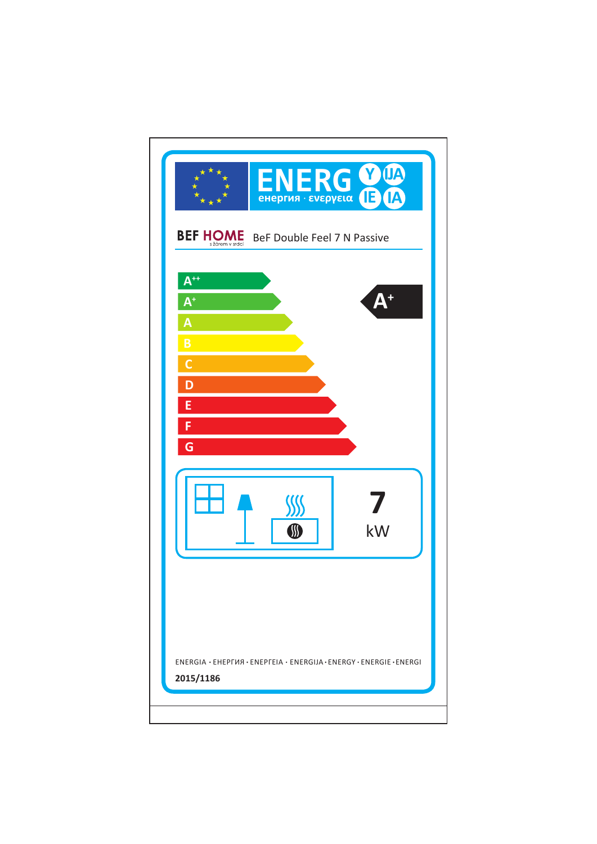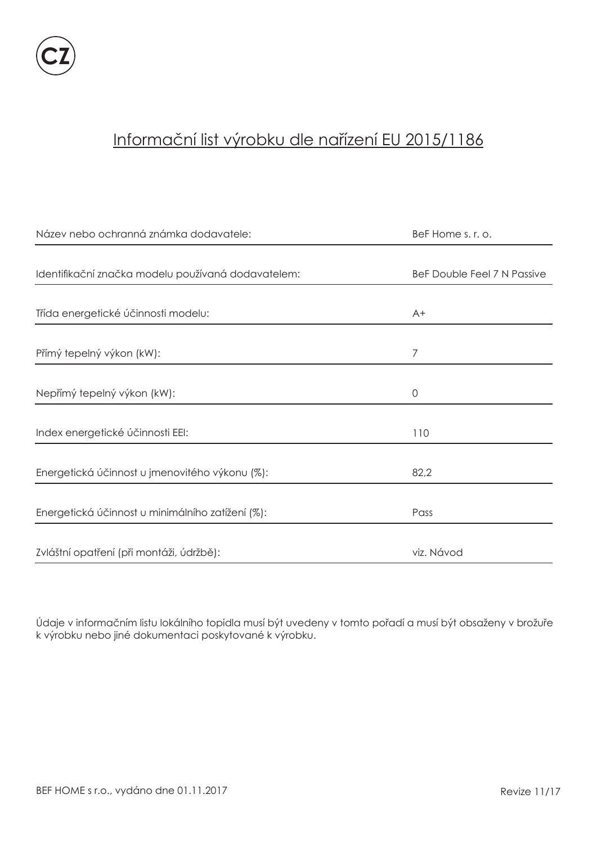

# Informační list výrobku dle nařízení EU 2015/1186

| Název nebo ochranná známka dodavatele:             | BeF Home s. r. o.           |
|----------------------------------------------------|-----------------------------|
|                                                    |                             |
| Identifikační značka modelu používaná dodavatelem: | BeF Double Feel 7 N Passive |
|                                                    |                             |
| Třída energetické účinnosti modelu:                | $A+$                        |
|                                                    |                             |
| Přímý tepelný výkon (kW):                          | 7                           |
|                                                    |                             |
| Nepřímý tepelný výkon (kW):                        | 0                           |
|                                                    |                             |
| Index energetické účinnosti EEI:                   | 110                         |
|                                                    |                             |
| Energetická účinnost u jmenovitého výkonu (%):     | 82,2                        |
|                                                    |                             |
| Energetická účinnost u minimálního zatížení (%):   | Pass                        |
|                                                    |                             |
| Zvláštní opatření (při montáži, údržbě):           | viz. Návod                  |

Údaje v informačním listu lokálního topidla musí být uvedeny v tomto pořadí a musí být obsaženy v brožuře k výrobku nebo jiné dokumentaci poskytované k výrobku.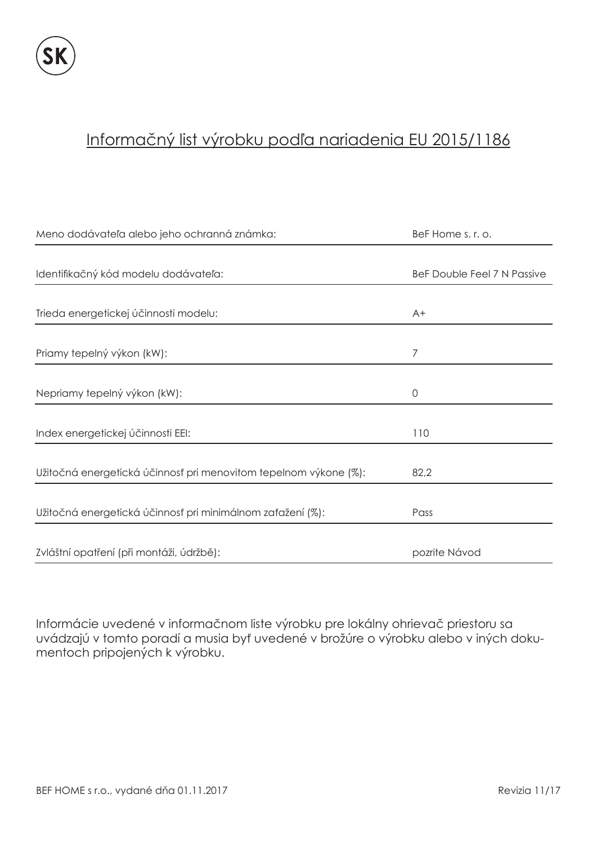### Informačný list výrobku podľa nariadenia EU 2015/1186

| Meno dodávateľa alebo jeho ochranná známka:                      | BeF Home s. r. o.           |
|------------------------------------------------------------------|-----------------------------|
|                                                                  |                             |
| Identifikačný kód modelu dodávateľa:                             | BeF Double Feel 7 N Passive |
|                                                                  |                             |
| Trieda energetickej účinnosti modelu:                            | $A+$                        |
|                                                                  |                             |
| Priamy tepelný výkon (kW):                                       | 7                           |
|                                                                  |                             |
| Nepriamy tepelný výkon (kW):                                     | $\overline{0}$              |
|                                                                  |                             |
| Index energetickej účinnosti EEI:                                | 110                         |
|                                                                  |                             |
| Užitočná energetická účinnosť pri menovitom tepelnom výkone (%): | 82,2                        |
|                                                                  |                             |
| Užitočná energetická účinnosť pri minimálnom zaťažení (%):       | Pass                        |
|                                                                  |                             |
| Zvláštní opatření (při montáži, údržbě):                         | pozrite Návod               |

Informácie uvedené v informačnom liste výrobku pre lokálny ohrievač priestoru sa uvádzajú v tomto poradí a musia byť uvedené v brožúre o výrobku alebo v iných dokumentoch pripojených k výrobku.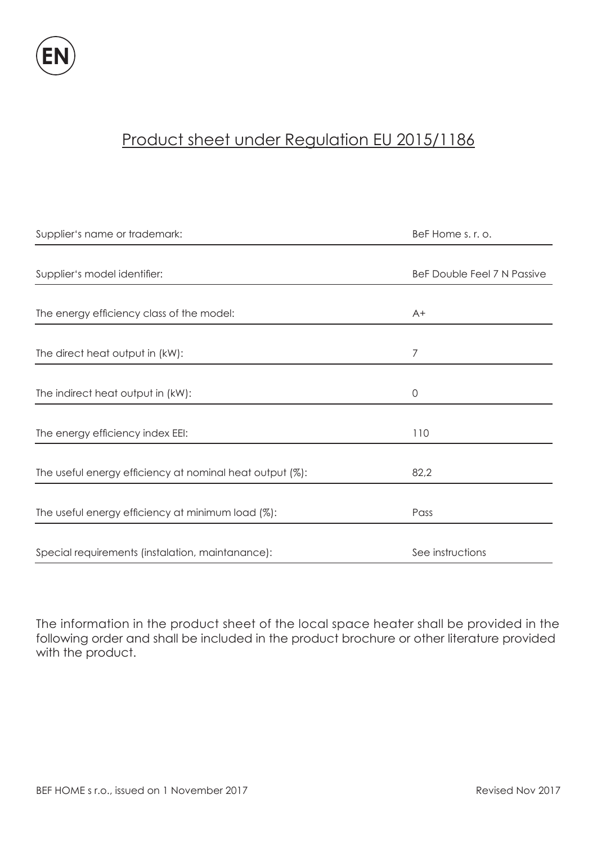

# Product sheet under Regulation EU 2015/1186

| Supplier's name or trademark:                            | BeF Home s. r. o.           |
|----------------------------------------------------------|-----------------------------|
|                                                          |                             |
| Supplier's model identifier:                             | BeF Double Feel 7 N Passive |
|                                                          |                             |
| The energy efficiency class of the model:                | $A+$                        |
|                                                          |                             |
| The direct heat output in (kW):                          | 7                           |
|                                                          |                             |
| The indirect heat output in (kW):                        | $\mathbf 0$                 |
|                                                          |                             |
| The energy efficiency index EEI:                         | 110                         |
|                                                          |                             |
| The useful energy efficiency at nominal heat output (%): | 82,2                        |
|                                                          |                             |
| The useful energy efficiency at minimum load (%):        | Pass                        |
|                                                          |                             |
| Special requirements (instalation, maintanance):         | See instructions            |

The information in the product sheet of the local space heater shall be provided in the following order and shall be included in the product brochure or other literature provided with the product.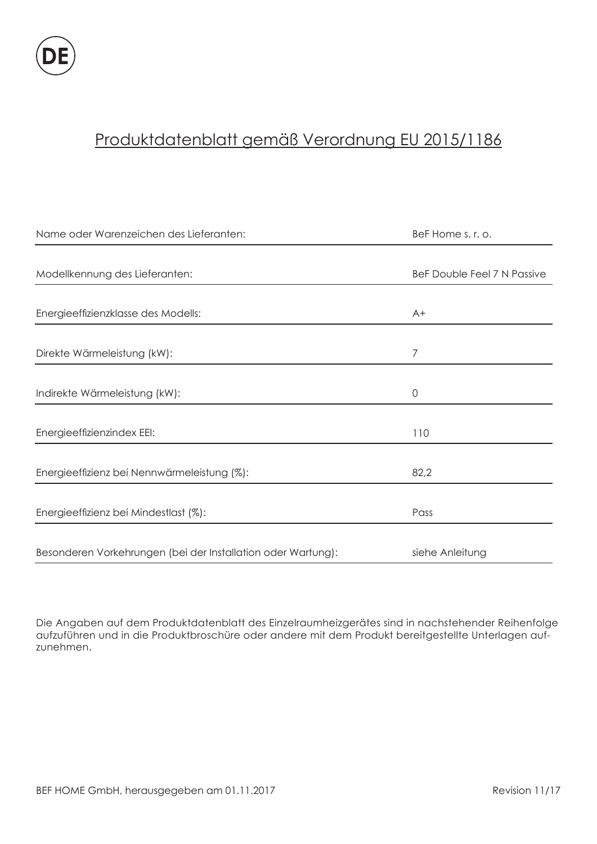# Produktdatenblatt gemäß Verordnung EU 2015/1186

| Name oder Warenzeichen des Lieferanten:                      | BeF Home s. r. o.           |
|--------------------------------------------------------------|-----------------------------|
|                                                              |                             |
| Modellkennung des Lieferanten:                               | BeF Double Feel 7 N Passive |
|                                                              |                             |
| Energieeffizienzklasse des Modells:                          | $A+$                        |
|                                                              |                             |
| Direkte Wärmeleistung (kW):                                  | 7                           |
|                                                              |                             |
| Indirekte Wärmeleistung (kW):                                | $\mathbf 0$                 |
|                                                              |                             |
| Energieeffizienzindex EEI:                                   | 110                         |
|                                                              |                             |
| Energieeffizienz bei Nennwärmeleistung (%):                  | 82,2                        |
|                                                              |                             |
| Energieeffizienz bei Mindestlast (%):                        | Pass                        |
|                                                              |                             |
| Besonderen Vorkehrungen (bei der Installation oder Wartung): | siehe Anleitung             |

Die Angaben auf dem Produktdatenblatt des Einzelraumheizgerätes sind in nachstehender Reihenfolge aufzuführen und in die Produktbroschüre oder andere mit dem Produkt bereitgestellte Unterlagen aufzunehmen.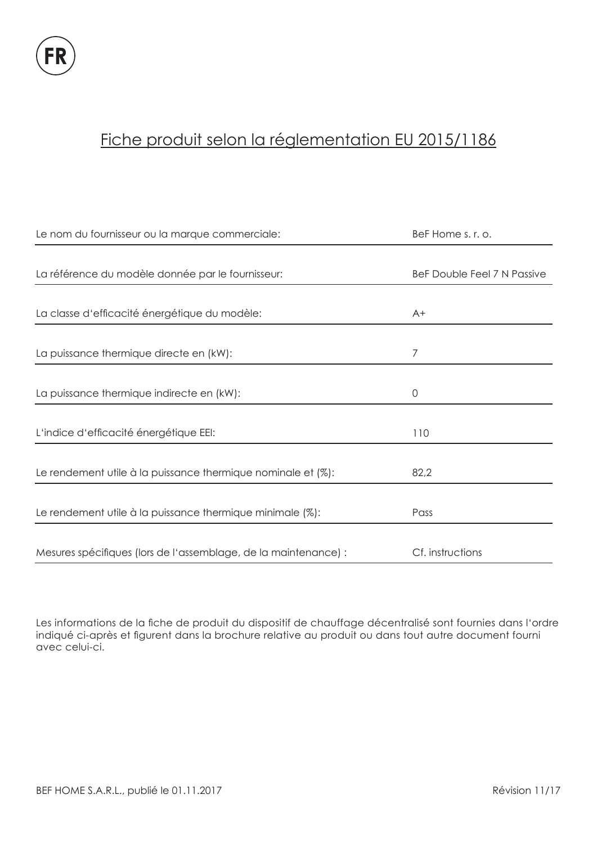# Fiche produit selon la réglementation EU 2015/1186

| Le nom du fournisseur ou la marque commerciale:                 | BeF Home s. r. o.           |
|-----------------------------------------------------------------|-----------------------------|
|                                                                 |                             |
| La référence du modèle donnée par le fournisseur:               | BeF Double Feel 7 N Passive |
|                                                                 |                             |
| La classe d'efficacité énergétique du modèle:                   | $A+$                        |
|                                                                 |                             |
| La puissance thermique directe en (kW):                         | 7                           |
|                                                                 |                             |
| La puissance thermique indirecte en (kW):                       | 0                           |
|                                                                 |                             |
| L'indice d'efficacité énergétique EEI:                          | 110                         |
|                                                                 |                             |
| Le rendement utile à la puissance thermique nominale et (%):    | 82,2                        |
|                                                                 |                             |
| Le rendement utile à la puissance thermique minimale (%):       | Pass                        |
|                                                                 |                             |
| Mesures spécifiques (lors de l'assemblage, de la maintenance) : | Cf. instructions            |

Les informations de la fiche de produit du dispositif de chauffage décentralisé sont fournies dans l'ordre indiqué ci-après et figurent dans la brochure relative au produit ou dans tout autre document fourni avec celui-ci.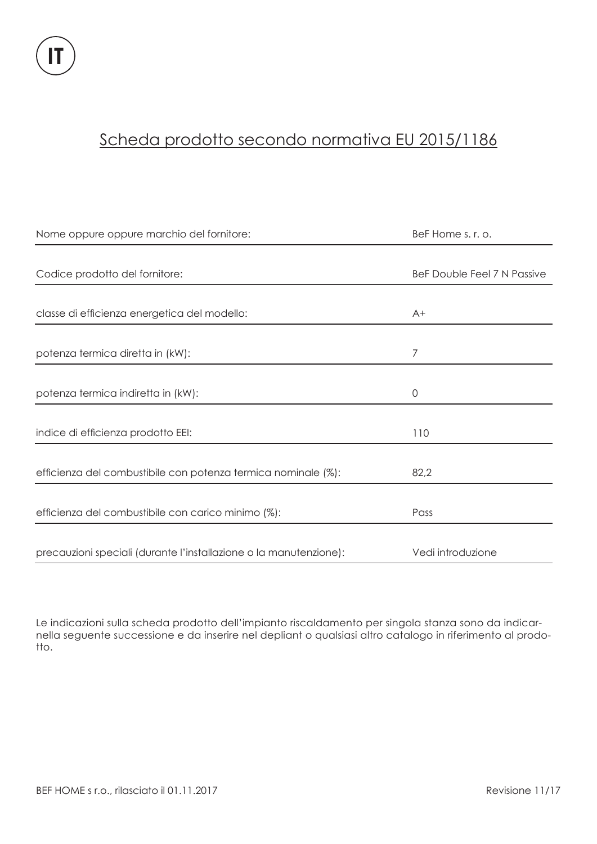### Scheda prodotto secondo normativa EU 2015/1186

| Nome oppure oppure marchio del fornitore:                         | BeF Home s. r. o.           |
|-------------------------------------------------------------------|-----------------------------|
|                                                                   |                             |
| Codice prodotto del fornitore:                                    | BeF Double Feel 7 N Passive |
|                                                                   |                             |
| classe di efficienza energetica del modello:                      | $A+$                        |
|                                                                   |                             |
| potenza termica diretta in (kW):                                  | 7                           |
|                                                                   |                             |
| potenza termica indiretta in (kW):                                | $\overline{0}$              |
|                                                                   |                             |
| indice di efficienza prodotto EEI:                                | 110                         |
|                                                                   |                             |
| efficienza del combustibile con potenza termica nominale (%):     | 82,2                        |
|                                                                   |                             |
| efficienza del combustibile con carico minimo (%):                | Pass                        |
|                                                                   |                             |
| precauzioni speciali (durante l'installazione o la manutenzione): | Vedi introduzione           |

Le indicazioni sulla scheda prodotto dell'impianto riscaldamento per singola stanza sono da indicarnella seguente successione e da inserire nel depliant o qualsiasi altro catalogo in riferimento al prodotto.